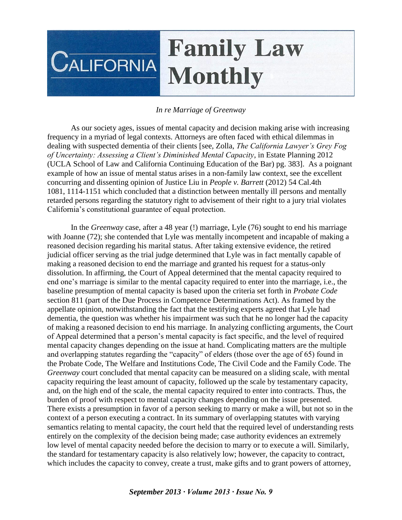## **Family Law CALIFORNIA Monthly**

## *In re Marriage of Greenway*

As our society ages, issues of mental capacity and decision making arise with increasing frequency in a myriad of legal contexts. Attorneys are often faced with ethical dilemmas in dealing with suspected dementia of their clients [see, Zolla, *The California Lawyer's Grey Fog of Uncertainty: Assessing a Client's Diminished Mental Capacity*, in Estate Planning 2012 (UCLA School of Law and California Continuing Education of the Bar) pg. 383]. As a poignant example of how an issue of mental status arises in a non-family law context, see the excellent concurring and dissenting opinion of Justice Liu in *People v. Barrett* (2012) 54 Cal.4th 1081, 1114-1151 which concluded that a distinction between mentally ill persons and mentally retarded persons regarding the statutory right to advisement of their right to a jury trial violates California's constitutional guarantee of equal protection.

In the *Greenway* case, after a 48 year (!) marriage, Lyle (76) sought to end his marriage with Joanne (72); she contended that Lyle was mentally incompetent and incapable of making a reasoned decision regarding his marital status. After taking extensive evidence, the retired judicial officer serving as the trial judge determined that Lyle was in fact mentally capable of making a reasoned decision to end the marriage and granted his request for a status-only dissolution. In affirming, the Court of Appeal determined that the mental capacity required to end one's marriage is similar to the mental capacity required to enter into the marriage, i.e., the baseline presumption of mental capacity is based upon the criteria set forth in *Probate Code* section 811 (part of the Due Process in Competence Determinations Act). As framed by the appellate opinion, notwithstanding the fact that the testifying experts agreed that Lyle had dementia, the question was whether his impairment was such that he no longer had the capacity of making a reasoned decision to end his marriage. In analyzing conflicting arguments, the Court of Appeal determined that a person's mental capacity is fact specific, and the level of required mental capacity changes depending on the issue at hand. Complicating matters are the multiple and overlapping statutes regarding the "capacity" of elders (those over the age of 65) found in the Probate Code, The Welfare and Institutions Code, The Civil Code and the Family Code. The *Greenway* court concluded that mental capacity can be measured on a sliding scale, with mental capacity requiring the least amount of capacity, followed up the scale by testamentary capacity, and, on the high end of the scale, the mental capacity required to enter into contracts. Thus, the burden of proof with respect to mental capacity changes depending on the issue presented. There exists a presumption in favor of a person seeking to marry or make a will, but not so in the context of a person executing a contract. In its summary of overlapping statutes with varying semantics relating to mental capacity, the court held that the required level of understanding rests entirely on the complexity of the decision being made; case authority evidences an extremely low level of mental capacity needed before the decision to marry or to execute a will. Similarly, the standard for testamentary capacity is also relatively low; however, the capacity to contract, which includes the capacity to convey, create a trust, make gifts and to grant powers of attorney,